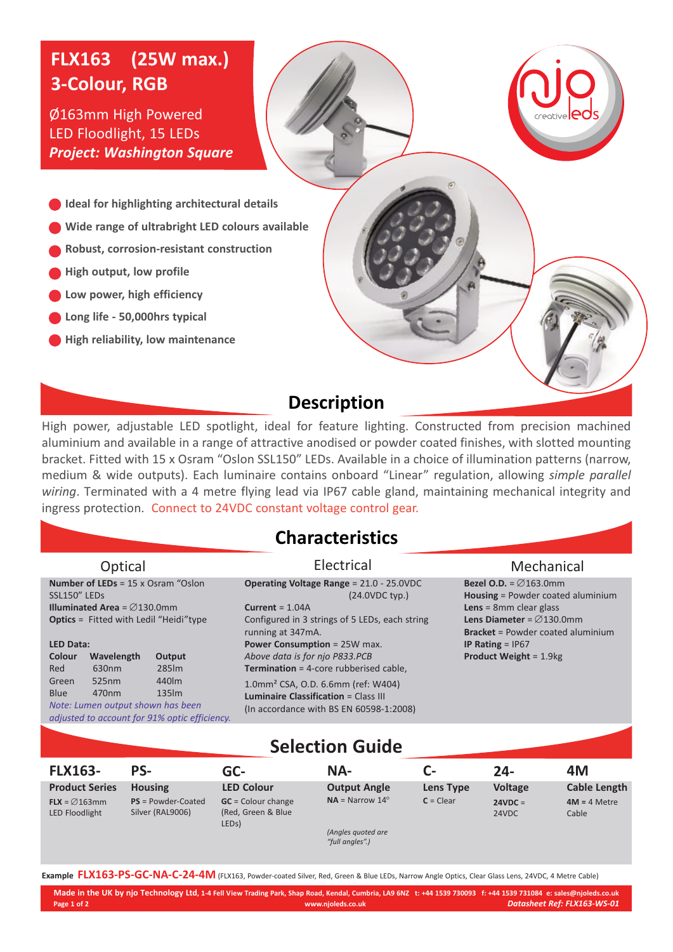# **FLX163 (25W max.) 3-Colour, RGB**

Ø163mm High Powered LED Floodlight, 15 LEDs *Project: Washington Square*

**Ideal for highlighting architectural details**

- **Wide range of ultrabright LED colours available**
- **Robust, corrosion-resistant construction**
- **High output, low profile**
- **Low power, high efficiency**
- **Long life - 50,000hrs typical**
- **High reliability, low maintenance**

## **Description**

s

High power, adjustable LED spotlight, ideal for feature lighting. Constructed from precision machined aluminium and available in a range of attractive anodised or powder coated finishes, with slotted mounting bracket. Fitted with 15 x Osram "Oslon SSL150" LEDs. Available in a choice of illumination patterns (narrow, medium & wide outputs). Each luminaire contains onboard "Linear" regulation, allowing *simple parallel wiring*. Terminated with a 4 metre flying lead via IP67 cable gland, maintaining mechanical integrity and ingress protection. Connect to 24VDC constant voltage control gear.

#### **Characteristics**

| Optical                                                                                                                                                             | Electrical                                                                                                                                                      | Mechanical                                                                                                                                                                                            |  |  |
|---------------------------------------------------------------------------------------------------------------------------------------------------------------------|-----------------------------------------------------------------------------------------------------------------------------------------------------------------|-------------------------------------------------------------------------------------------------------------------------------------------------------------------------------------------------------|--|--|
| <b>Number of LEDs</b> = $15 \times$ Osram "Oslon<br>SSL150" LEDS<br><b>Illuminated Area</b> = $\emptyset$ 130.0mm<br><b>Optics</b> = Fitted with Ledil "Heidi" type | <b>Operating Voltage Range = 21.0 - 25.0VDC</b><br>$(24.0VDC$ typ.)<br>Current = $1.04A$<br>Configured in 3 strings of 5 LEDs, each string<br>running at 347mA. | <b>Bezel O.D.</b> = $\emptyset$ 163.0mm<br>Housing = Powder coated aluminium<br>Lens = $8$ mm clear glass<br><b>Lens Diameter</b> = $\varnothing$ 130.0mm<br><b>Bracket</b> = Powder coated aluminium |  |  |
| LED Data:<br><b>Colour</b><br>Wavelength<br>Output<br>285lm<br>Red<br>630nm                                                                                         | <b>Power Consumption = 25W max.</b><br>Above data is for njo P833.PCB<br><b>Termination</b> = 4-core rubberised cable,                                          | IP Rating $=$ IP67<br><b>Product Weight = 1.9 kg</b>                                                                                                                                                  |  |  |
| 440lm<br>525nm<br>Green<br><b>Blue</b><br>135 <sub>Im</sub><br>470nm<br>Note: Lumen output shown has been<br>adjusted to account for 91% optic efficiency.          | 1.0mm <sup>2</sup> CSA, O.D. 6.6mm (ref: W404)<br><b>Luminaire Classification = Class III</b><br>(In accordance with BS EN 60598-1:2008)                        |                                                                                                                                                                                                       |  |  |
|                                                                                                                                                                     |                                                                                                                                                                 |                                                                                                                                                                                                       |  |  |

#### **Selection Guide**

| <b>FLX163-</b>                            | PS-                                     | GC-                                                               | NA-                                   | $C-$        | $24-$              | 4M                      |
|-------------------------------------------|-----------------------------------------|-------------------------------------------------------------------|---------------------------------------|-------------|--------------------|-------------------------|
| <b>Product Series</b>                     | <b>Housing</b>                          | <b>LED Colour</b>                                                 | <b>Output Angle</b>                   | Lens Type   | <b>Voltage</b>     | <b>Cable Length</b>     |
| $FLX = \emptyset$ 163mm<br>LED Floodlight | $PS = Power-Coated$<br>Silver (RAL9006) | $GC =$ Colour change<br>(Red, Green & Blue)<br>LED <sub>s</sub> ) | $NA = \text{Narrow } 14^{\circ}$      | $C = Clear$ | $24VDC =$<br>24VDC | $4M = 4$ Metre<br>Cable |
|                                           |                                         |                                                                   | (Angles quoted are<br>"full angles".) |             |                    |                         |

**Example FLX163-PS-GC-NA-C-24-4M** (FLX163, Powder-coated Silver, Red, Green & Blue LEDs, Narrow Angle Optics, Clear Glass Lens, 24VDC, <sup>4</sup> Metre Cable)

Made in the UK by njo Technology Ltd, 1-4 Fell View Trading Park, Shap Road, Kendal, Cumbria, LA9 6NZ t: +44 1539 730093 f: +44 1539 731084 e: sales@njoleds.co.uk **Page 1 of 2 www.njoleds.co.uk** *Datasheet Ref: FLX163-WS-01*